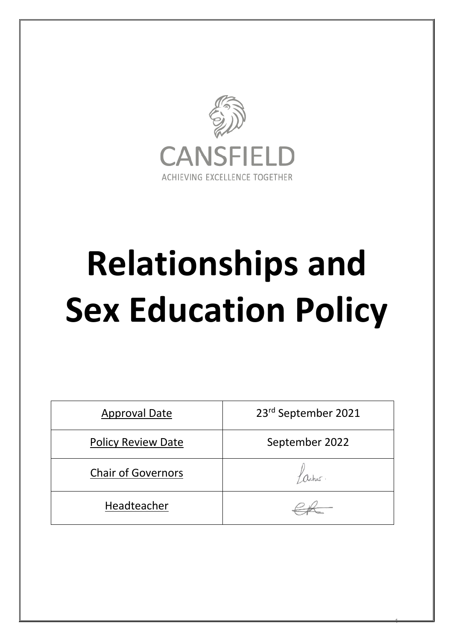

# **Relationships and Sex Education Policy**

| <b>Approval Date</b>      | 23rd September 2021 |
|---------------------------|---------------------|
| <b>Policy Review Date</b> | September 2022      |
| <b>Chair of Governors</b> |                     |
| Headteacher               |                     |

 $\frac{4}{1}$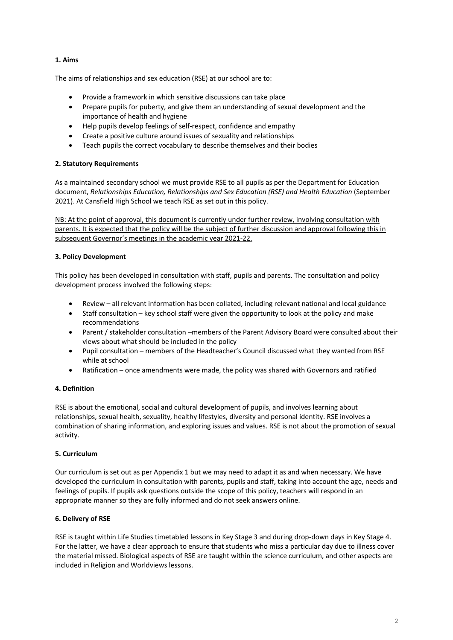# **1. Aims**

The aims of relationships and sex education (RSE) at our school are to:

- Provide a framework in which sensitive discussions can take place
- Prepare pupils for puberty, and give them an understanding of sexual development and the importance of health and hygiene
- Help pupils develop feelings of self-respect, confidence and empathy
- Create a positive culture around issues of sexuality and relationships
- Teach pupils the correct vocabulary to describe themselves and their bodies

### **2. Statutory Requirements**

As a maintained secondary school we must provide RSE to all pupils as per the Department for Education document, *Relationships Education, Relationships and Sex Education (RSE) and Health Education* (September 2021). At Cansfield High School we teach RSE as set out in this policy.

NB: At the point of approval, this document is currently under further review, involving consultation with parents. It is expected that the policy will be the subject of further discussion and approval following this in subsequent Governor's meetings in the academic year 2021-22.

### **3. Policy Development**

This policy has been developed in consultation with staff, pupils and parents. The consultation and policy development process involved the following steps:

- Review all relevant information has been collated, including relevant national and local guidance
- Staff consultation key school staff were given the opportunity to look at the policy and make recommendations
- Parent / stakeholder consultation –members of the Parent Advisory Board were consulted about their views about what should be included in the policy
- Pupil consultation members of the Headteacher's Council discussed what they wanted from RSE while at school
- Ratification once amendments were made, the policy was shared with Governors and ratified

# **4. Definition**

RSE is about the emotional, social and cultural development of pupils, and involves learning about relationships, sexual health, sexuality, healthy lifestyles, diversity and personal identity. RSE involves a combination of sharing information, and exploring issues and values. RSE is not about the promotion of sexual activity.

# **5. Curriculum**

Our curriculum is set out as per Appendix 1 but we may need to adapt it as and when necessary. We have developed the curriculum in consultation with parents, pupils and staff, taking into account the age, needs and feelings of pupils. If pupils ask questions outside the scope of this policy, teachers will respond in an appropriate manner so they are fully informed and do not seek answers online.

# **6. Delivery of RSE**

RSE is taught within Life Studies timetabled lessons in Key Stage 3 and during drop-down days in Key Stage 4. For the latter, we have a clear approach to ensure that students who miss a particular day due to illness cover the material missed. Biological aspects of RSE are taught within the science curriculum, and other aspects are included in Religion and Worldviews lessons.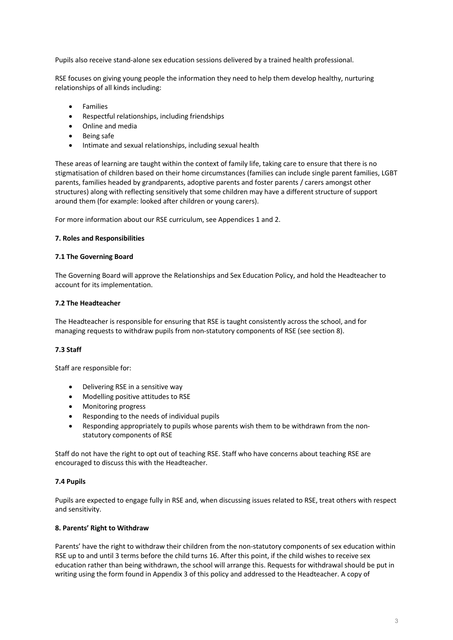Pupils also receive stand-alone sex education sessions delivered by a trained health professional.

RSE focuses on giving young people the information they need to help them develop healthy, nurturing relationships of all kinds including:

- **Families**
- Respectful relationships, including friendships
- Online and media
- Being safe
- Intimate and sexual relationships, including sexual health

These areas of learning are taught within the context of family life, taking care to ensure that there is no stigmatisation of children based on their home circumstances (families can include single parent families, LGBT parents, families headed by grandparents, adoptive parents and foster parents / carers amongst other structures) along with reflecting sensitively that some children may have a different structure of support around them (for example: looked after children or young carers).

For more information about our RSE curriculum, see Appendices 1 and 2.

### **7. Roles and Responsibilities**

### **7.1 The Governing Board**

The Governing Board will approve the Relationships and Sex Education Policy, and hold the Headteacher to account for its implementation.

### **7.2 The Headteacher**

The Headteacher is responsible for ensuring that RSE is taught consistently across the school, and for managing requests to withdraw pupils from non-statutory components of RSE (see section 8).

### **7.3 Staff**

Staff are responsible for:

- Delivering RSE in a sensitive way
- Modelling positive attitudes to RSE
- Monitoring progress
- Responding to the needs of individual pupils
- Responding appropriately to pupils whose parents wish them to be withdrawn from the nonstatutory components of RSE

Staff do not have the right to opt out of teaching RSE. Staff who have concerns about teaching RSE are encouraged to discuss this with the Headteacher.

### **7.4 Pupils**

Pupils are expected to engage fully in RSE and, when discussing issues related to RSE, treat others with respect and sensitivity.

### **8. Parents' Right to Withdraw**

Parents' have the right to withdraw their children from the non-statutory components of sex education within RSE up to and until 3 terms before the child turns 16. After this point, if the child wishes to receive sex education rather than being withdrawn, the school will arrange this. Requests for withdrawal should be put in writing using the form found in Appendix 3 of this policy and addressed to the Headteacher. A copy of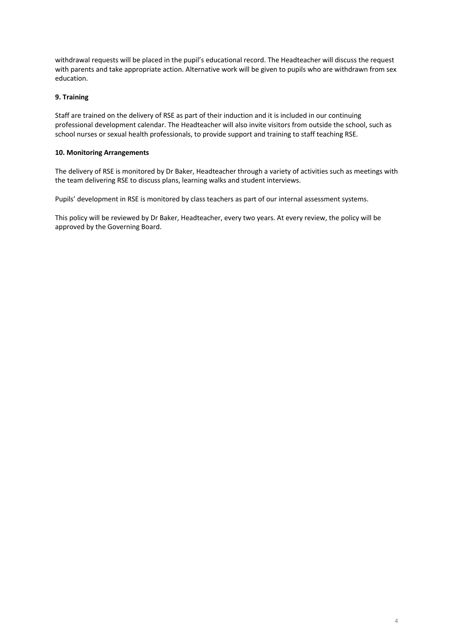withdrawal requests will be placed in the pupil's educational record. The Headteacher will discuss the request with parents and take appropriate action. Alternative work will be given to pupils who are withdrawn from sex education.

### **9. Training**

Staff are trained on the delivery of RSE as part of their induction and it is included in our continuing professional development calendar. The Headteacher will also invite visitors from outside the school, such as school nurses or sexual health professionals, to provide support and training to staff teaching RSE.

### **10. Monitoring Arrangements**

The delivery of RSE is monitored by Dr Baker, Headteacher through a variety of activities such as meetings with the team delivering RSE to discuss plans, learning walks and student interviews.

Pupils' development in RSE is monitored by class teachers as part of our internal assessment systems.

This policy will be reviewed by Dr Baker, Headteacher, every two years. At every review, the policy will be approved by the Governing Board.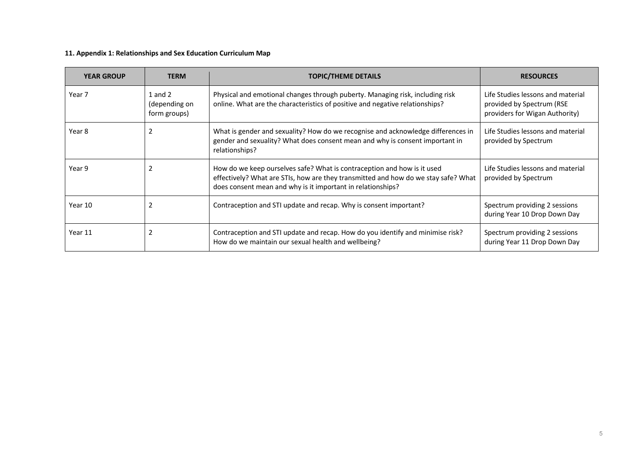# **11. Appendix 1: Relationships and Sex Education Curriculum Map**

| <b>YEAR GROUP</b> | <b>TERM</b>                                  | <b>TOPIC/THEME DETAILS</b>                                                                                                                                                                                                   | <b>RESOURCES</b>                                                                                 |
|-------------------|----------------------------------------------|------------------------------------------------------------------------------------------------------------------------------------------------------------------------------------------------------------------------------|--------------------------------------------------------------------------------------------------|
| Year 7            | $1$ and $2$<br>(depending on<br>form groups) | Physical and emotional changes through puberty. Managing risk, including risk<br>online. What are the characteristics of positive and negative relationships?                                                                | Life Studies lessons and material<br>provided by Spectrum (RSE<br>providers for Wigan Authority) |
| Year 8            | $\overline{2}$                               | What is gender and sexuality? How do we recognise and acknowledge differences in<br>gender and sexuality? What does consent mean and why is consent important in<br>relationships?                                           | Life Studies lessons and material<br>provided by Spectrum                                        |
| Year 9            | 2                                            | How do we keep ourselves safe? What is contraception and how is it used<br>effectively? What are STIs, how are they transmitted and how do we stay safe? What<br>does consent mean and why is it important in relationships? | Life Studies lessons and material<br>provided by Spectrum                                        |
| Year 10           | 2                                            | Contraception and STI update and recap. Why is consent important?                                                                                                                                                            | Spectrum providing 2 sessions<br>during Year 10 Drop Down Day                                    |
| Year 11           | 2                                            | Contraception and STI update and recap. How do you identify and minimise risk?<br>How do we maintain our sexual health and wellbeing?                                                                                        | Spectrum providing 2 sessions<br>during Year 11 Drop Down Day                                    |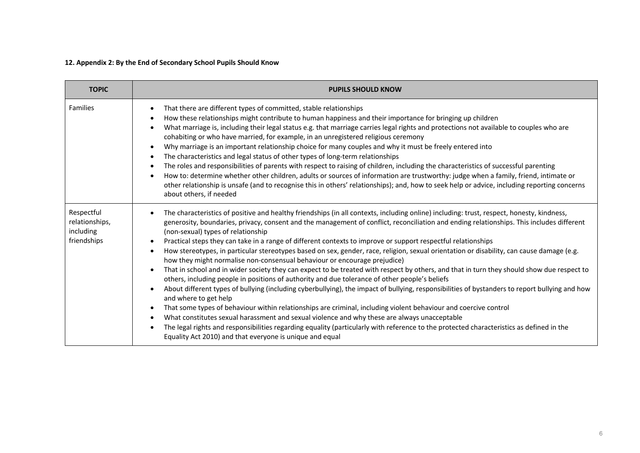# **12. Appendix 2: By the End of Secondary School Pupils Should Know**

| <b>TOPIC</b>                                             | <b>PUPILS SHOULD KNOW</b>                                                                                                                                                                                                                                                                                                                                                                                                                                                                                                                                                                                                                                                                                                                                                                                                                                                                                                                                                                                                                                                                                                                                                                                                                                                                                                                                                                                                                                                                                                                                                                                                              |
|----------------------------------------------------------|----------------------------------------------------------------------------------------------------------------------------------------------------------------------------------------------------------------------------------------------------------------------------------------------------------------------------------------------------------------------------------------------------------------------------------------------------------------------------------------------------------------------------------------------------------------------------------------------------------------------------------------------------------------------------------------------------------------------------------------------------------------------------------------------------------------------------------------------------------------------------------------------------------------------------------------------------------------------------------------------------------------------------------------------------------------------------------------------------------------------------------------------------------------------------------------------------------------------------------------------------------------------------------------------------------------------------------------------------------------------------------------------------------------------------------------------------------------------------------------------------------------------------------------------------------------------------------------------------------------------------------------|
| <b>Families</b>                                          | That there are different types of committed, stable relationships<br>$\bullet$<br>How these relationships might contribute to human happiness and their importance for bringing up children<br>$\bullet$<br>What marriage is, including their legal status e.g. that marriage carries legal rights and protections not available to couples who are<br>$\bullet$<br>cohabiting or who have married, for example, in an unregistered religious ceremony<br>Why marriage is an important relationship choice for many couples and why it must be freely entered into<br>$\bullet$<br>The characteristics and legal status of other types of long-term relationships<br>$\bullet$<br>The roles and responsibilities of parents with respect to raising of children, including the characteristics of successful parenting<br>$\bullet$<br>How to: determine whether other children, adults or sources of information are trustworthy: judge when a family, friend, intimate or<br>$\bullet$<br>other relationship is unsafe (and to recognise this in others' relationships); and, how to seek help or advice, including reporting concerns<br>about others, if needed                                                                                                                                                                                                                                                                                                                                                                                                                                                                    |
| Respectful<br>relationships,<br>including<br>friendships | The characteristics of positive and healthy friendships (in all contexts, including online) including: trust, respect, honesty, kindness,<br>$\bullet$<br>generosity, boundaries, privacy, consent and the management of conflict, reconciliation and ending relationships. This includes different<br>(non-sexual) types of relationship<br>Practical steps they can take in a range of different contexts to improve or support respectful relationships<br>$\bullet$<br>How stereotypes, in particular stereotypes based on sex, gender, race, religion, sexual orientation or disability, can cause damage (e.g.<br>$\bullet$<br>how they might normalise non-consensual behaviour or encourage prejudice)<br>That in school and in wider society they can expect to be treated with respect by others, and that in turn they should show due respect to<br>$\bullet$<br>others, including people in positions of authority and due tolerance of other people's beliefs<br>About different types of bullying (including cyberbullying), the impact of bullying, responsibilities of bystanders to report bullying and how<br>$\bullet$<br>and where to get help<br>That some types of behaviour within relationships are criminal, including violent behaviour and coercive control<br>$\bullet$<br>What constitutes sexual harassment and sexual violence and why these are always unacceptable<br>$\bullet$<br>The legal rights and responsibilities regarding equality (particularly with reference to the protected characteristics as defined in the<br>$\bullet$<br>Equality Act 2010) and that everyone is unique and equal |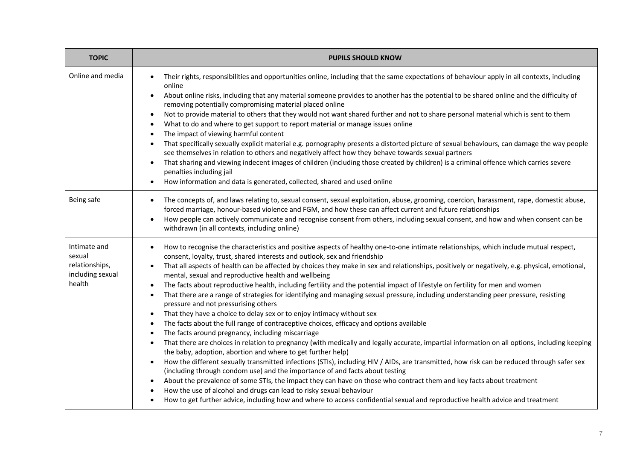| <b>TOPIC</b>                                                           | <b>PUPILS SHOULD KNOW</b>                                                                                                                                                                                                                                                                                                                                                                                                                                                                                                                                                                                                                                                                                                                                                                                                                                                                                                                                                                                                                                                                                                                                                                                                                                                                                                                                                                                                                                                                                                                                                                                                                                                                                                                                                                                                                                  |  |  |
|------------------------------------------------------------------------|------------------------------------------------------------------------------------------------------------------------------------------------------------------------------------------------------------------------------------------------------------------------------------------------------------------------------------------------------------------------------------------------------------------------------------------------------------------------------------------------------------------------------------------------------------------------------------------------------------------------------------------------------------------------------------------------------------------------------------------------------------------------------------------------------------------------------------------------------------------------------------------------------------------------------------------------------------------------------------------------------------------------------------------------------------------------------------------------------------------------------------------------------------------------------------------------------------------------------------------------------------------------------------------------------------------------------------------------------------------------------------------------------------------------------------------------------------------------------------------------------------------------------------------------------------------------------------------------------------------------------------------------------------------------------------------------------------------------------------------------------------------------------------------------------------------------------------------------------------|--|--|
| Online and media                                                       | Their rights, responsibilities and opportunities online, including that the same expectations of behaviour apply in all contexts, including<br>online<br>About online risks, including that any material someone provides to another has the potential to be shared online and the difficulty of<br>$\bullet$<br>removing potentially compromising material placed online<br>Not to provide material to others that they would not want shared further and not to share personal material which is sent to them<br>$\bullet$<br>What to do and where to get support to report material or manage issues online<br>$\bullet$<br>The impact of viewing harmful content<br>$\bullet$<br>That specifically sexually explicit material e.g. pornography presents a distorted picture of sexual behaviours, can damage the way people<br>$\bullet$<br>see themselves in relation to others and negatively affect how they behave towards sexual partners<br>That sharing and viewing indecent images of children (including those created by children) is a criminal offence which carries severe<br>$\bullet$<br>penalties including jail<br>How information and data is generated, collected, shared and used online<br>$\bullet$                                                                                                                                                                                                                                                                                                                                                                                                                                                                                                                                                                                                                              |  |  |
| Being safe                                                             | The concepts of, and laws relating to, sexual consent, sexual exploitation, abuse, grooming, coercion, harassment, rape, domestic abuse,<br>$\bullet$<br>forced marriage, honour-based violence and FGM, and how these can affect current and future relationships<br>How people can actively communicate and recognise consent from others, including sexual consent, and how and when consent can be<br>withdrawn (in all contexts, including online)                                                                                                                                                                                                                                                                                                                                                                                                                                                                                                                                                                                                                                                                                                                                                                                                                                                                                                                                                                                                                                                                                                                                                                                                                                                                                                                                                                                                    |  |  |
| Intimate and<br>sexual<br>relationships,<br>including sexual<br>health | How to recognise the characteristics and positive aspects of healthy one-to-one intimate relationships, which include mutual respect,<br>consent, loyalty, trust, shared interests and outlook, sex and friendship<br>That all aspects of health can be affected by choices they make in sex and relationships, positively or negatively, e.g. physical, emotional,<br>mental, sexual and reproductive health and wellbeing<br>The facts about reproductive health, including fertility and the potential impact of lifestyle on fertility for men and women<br>That there are a range of strategies for identifying and managing sexual pressure, including understanding peer pressure, resisting<br>$\bullet$<br>pressure and not pressurising others<br>That they have a choice to delay sex or to enjoy intimacy without sex<br>$\bullet$<br>The facts about the full range of contraceptive choices, efficacy and options available<br>$\bullet$<br>The facts around pregnancy, including miscarriage<br>$\bullet$<br>That there are choices in relation to pregnancy (with medically and legally accurate, impartial information on all options, including keeping<br>$\bullet$<br>the baby, adoption, abortion and where to get further help)<br>How the different sexually transmitted infections (STIs), including HIV / AIDs, are transmitted, how risk can be reduced through safer sex<br>$\bullet$<br>(including through condom use) and the importance of and facts about testing<br>About the prevalence of some STIs, the impact they can have on those who contract them and key facts about treatment<br>$\bullet$<br>How the use of alcohol and drugs can lead to risky sexual behaviour<br>How to get further advice, including how and where to access confidential sexual and reproductive health advice and treatment<br>$\bullet$ |  |  |